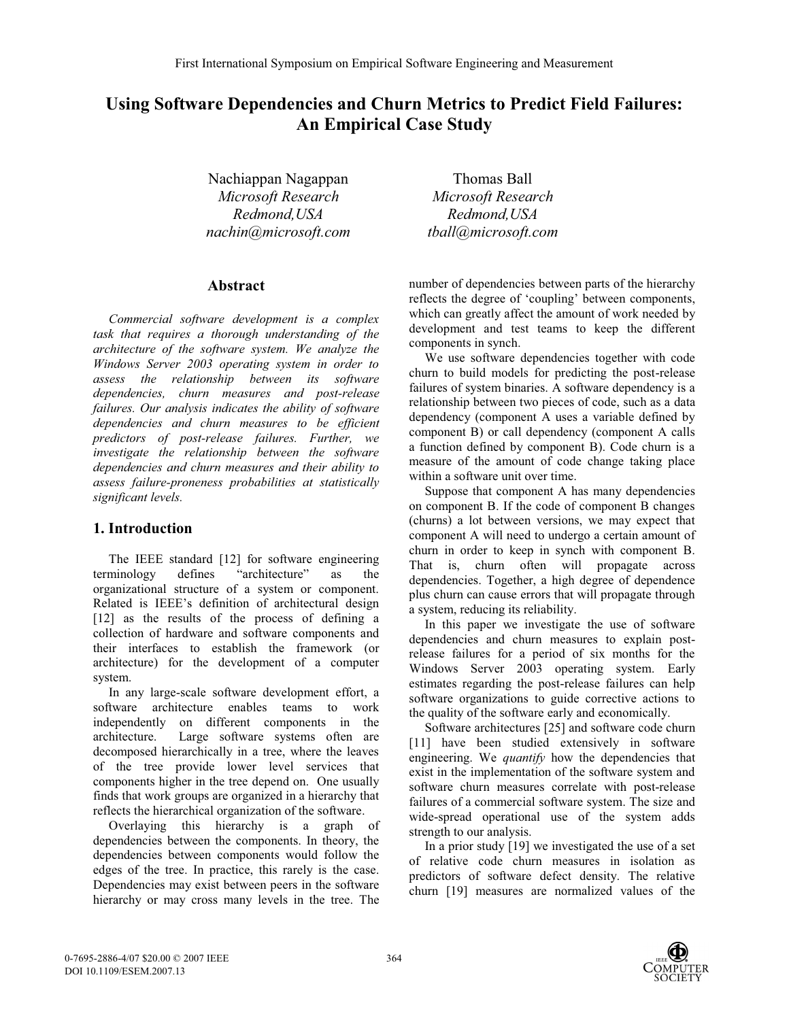# **Using Software Dependencies and Churn Metrics to Predict Field Failures: An Empirical Case Study**

Nachiappan Nagappan *Microsoft Research Redmond,USA nachin@microsoft.com*

# **Abstract**

*Commercial software development is a complex task that requires a thorough understanding of the architecture of the software system. We analyze the Windows Server 2003 operating system in order to assess the relationship between its software dependencies, churn measures and post-release failures. Our analysis indicates the ability of software dependencies and churn measures to be efficient predictors of post-release failures. Further, we investigate the relationship between the software dependencies and churn measures and their ability to assess failure-proneness probabilities at statistically significant levels.* 

# **1. Introduction**

The IEEE standard [12] for software engineering terminology defines "architecture" as the organizational structure of a system or component. Related is IEEE's definition of architectural design [12] as the results of the process of defining a collection of hardware and software components and their interfaces to establish the framework (or architecture) for the development of a computer system.

In any large-scale software development effort, a software architecture enables teams to work independently on different components in the architecture. Large software systems often are decomposed hierarchically in a tree, where the leaves of the tree provide lower level services that components higher in the tree depend on. One usually finds that work groups are organized in a hierarchy that reflects the hierarchical organization of the software.

Overlaying this hierarchy is a graph of dependencies between the components. In theory, the dependencies between components would follow the edges of the tree. In practice, this rarely is the case. Dependencies may exist between peers in the software hierarchy or may cross many levels in the tree. The

Thomas Ball *Microsoft Research Redmond,USA tball@microsoft.com*

number of dependencies between parts of the hierarchy reflects the degree of 'coupling' between components, which can greatly affect the amount of work needed by development and test teams to keep the different components in synch.

We use software dependencies together with code churn to build models for predicting the post-release failures of system binaries. A software dependency is a relationship between two pieces of code, such as a data dependency (component A uses a variable defined by component B) or call dependency (component A calls a function defined by component B). Code churn is a measure of the amount of code change taking place within a software unit over time.

Suppose that component A has many dependencies on component B. If the code of component B changes (churns) a lot between versions, we may expect that component A will need to undergo a certain amount of churn in order to keep in synch with component B. That is, churn often will propagate across dependencies. Together, a high degree of dependence plus churn can cause errors that will propagate through a system, reducing its reliability.

In this paper we investigate the use of software dependencies and churn measures to explain postrelease failures for a period of six months for the Windows Server 2003 operating system. Early estimates regarding the post-release failures can help software organizations to guide corrective actions to the quality of the software early and economically.

Software architectures [25] and software code churn [11] have been studied extensively in software engineering. We *quantify* how the dependencies that exist in the implementation of the software system and software churn measures correlate with post-release failures of a commercial software system. The size and wide-spread operational use of the system adds strength to our analysis.

In a prior study [19] we investigated the use of a set of relative code churn measures in isolation as predictors of software defect density. The relative churn [19] measures are normalized values of the

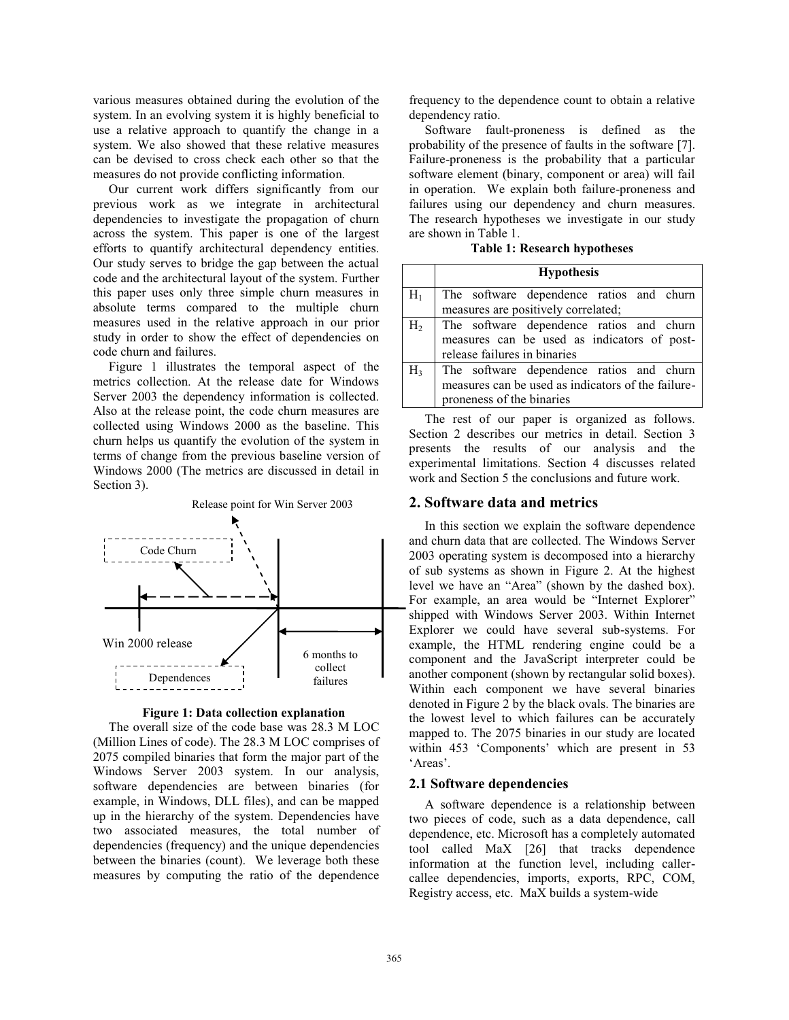various measures obtained during the evolution of the system. In an evolving system it is highly beneficial to use a relative approach to quantify the change in a system. We also showed that these relative measures can be devised to cross check each other so that the measures do not provide conflicting information.

Our current work differs significantly from our previous work as we integrate in architectural dependencies to investigate the propagation of churn across the system. This paper is one of the largest efforts to quantify architectural dependency entities. Our study serves to bridge the gap between the actual code and the architectural layout of the system. Further this paper uses only three simple churn measures in absolute terms compared to the multiple churn measures used in the relative approach in our prior study in order to show the effect of dependencies on code churn and failures.

Figure 1 illustrates the temporal aspect of the metrics collection. At the release date for Windows Server 2003 the dependency information is collected. Also at the release point, the code churn measures are collected using Windows 2000 as the baseline. This churn helps us quantify the evolution of the system in terms of change from the previous baseline version of Windows 2000 (The metrics are discussed in detail in Section 3).



**Figure 1: Data collection explanation** 

The overall size of the code base was 28.3 M LOC (Million Lines of code). The 28.3 M LOC comprises of 2075 compiled binaries that form the major part of the Windows Server 2003 system. In our analysis, software dependencies are between binaries (for example, in Windows, DLL files), and can be mapped up in the hierarchy of the system. Dependencies have two associated measures, the total number of dependencies (frequency) and the unique dependencies between the binaries (count). We leverage both these measures by computing the ratio of the dependence

frequency to the dependence count to obtain a relative dependency ratio.

Software fault-proneness is defined as the probability of the presence of faults in the software [7]. Failure-proneness is the probability that a particular software element (binary, component or area) will fail in operation. We explain both failure-proneness and failures using our dependency and churn measures. The research hypotheses we investigate in our study are shown in Table 1.

**Table 1: Research hypotheses** 

|                | <b>Hypothesis</b>                                  |  |  |  |  |  |  |  |
|----------------|----------------------------------------------------|--|--|--|--|--|--|--|
| $H_1$          | The software dependence ratios and churn           |  |  |  |  |  |  |  |
|                | measures are positively correlated;                |  |  |  |  |  |  |  |
| H <sub>2</sub> | The software dependence ratios and churn           |  |  |  |  |  |  |  |
|                | measures can be used as indicators of post-        |  |  |  |  |  |  |  |
|                | release failures in binaries                       |  |  |  |  |  |  |  |
| $H_3$          | The software dependence ratios and churn           |  |  |  |  |  |  |  |
|                | measures can be used as indicators of the failure- |  |  |  |  |  |  |  |
|                | proneness of the binaries                          |  |  |  |  |  |  |  |

The rest of our paper is organized as follows. Section 2 describes our metrics in detail. Section 3 presents the results of our analysis and the experimental limitations. Section 4 discusses related work and Section 5 the conclusions and future work.

#### **2. Software data and metrics**

In this section we explain the software dependence and churn data that are collected. The Windows Server 2003 operating system is decomposed into a hierarchy of sub systems as shown in Figure 2. At the highest level we have an "Area" (shown by the dashed box). For example, an area would be "Internet Explorer" shipped with Windows Server 2003. Within Internet Explorer we could have several sub-systems. For example, the HTML rendering engine could be a component and the JavaScript interpreter could be another component (shown by rectangular solid boxes). Within each component we have several binaries denoted in Figure 2 by the black ovals. The binaries are the lowest level to which failures can be accurately mapped to. The 2075 binaries in our study are located within 453 'Components' which are present in 53  $'$ Areas'

#### **2.1 Software dependencies**

A software dependence is a relationship between two pieces of code, such as a data dependence, call dependence, etc. Microsoft has a completely automated tool called MaX [26] that tracks dependence information at the function level, including callercallee dependencies, imports, exports, RPC, COM, Registry access, etc. MaX builds a system-wide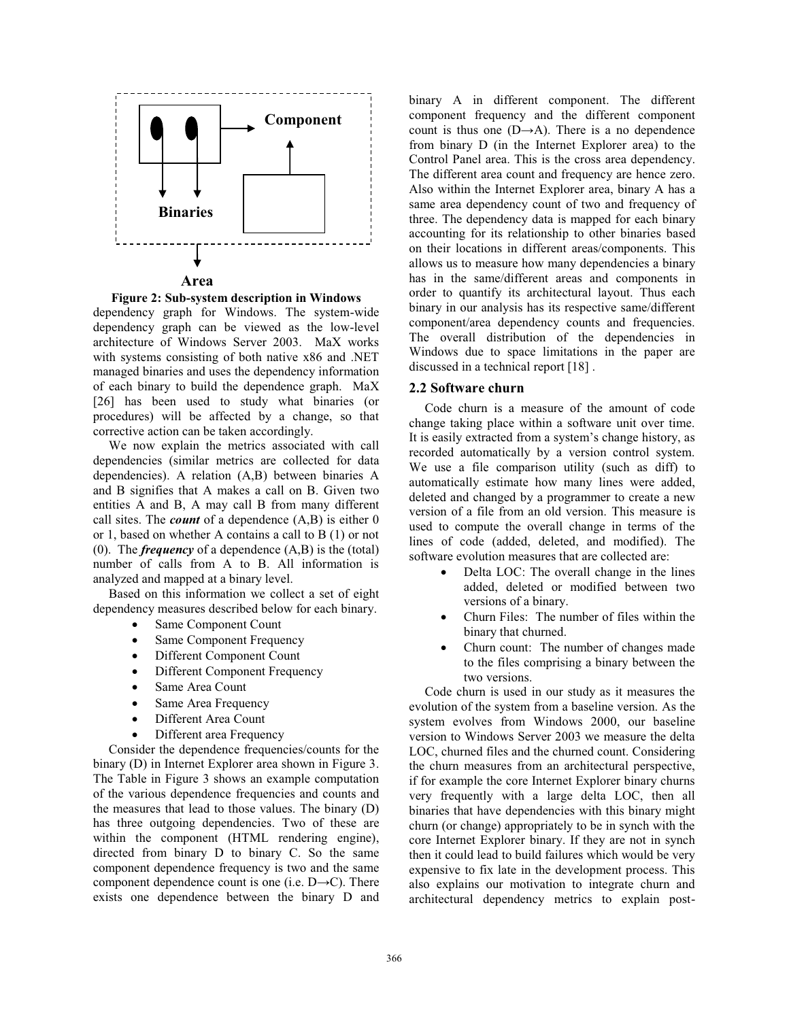

**Area**

**Figure 2: Sub-system description in Windows**

dependency graph for Windows. The system-wide dependency graph can be viewed as the low-level architecture of Windows Server 2003. MaX works with systems consisting of both native x86 and .NET managed binaries and uses the dependency information of each binary to build the dependence graph. MaX [26] has been used to study what binaries (or procedures) will be affected by a change, so that corrective action can be taken accordingly.

We now explain the metrics associated with call dependencies (similar metrics are collected for data dependencies). A relation (A,B) between binaries A and B signifies that A makes a call on B. Given two entities A and B, A may call B from many different call sites. The *count* of a dependence (A,B) is either 0 or 1, based on whether A contains a call to B (1) or not (0). The *frequency* of a dependence (A,B) is the (total) number of calls from A to B. All information is analyzed and mapped at a binary level.

Based on this information we collect a set of eight dependency measures described below for each binary.

- Same Component Count
- Same Component Frequency
- Different Component Count
- Different Component Frequency
- Same Area Count
- Same Area Frequency
- Different Area Count
- Different area Frequency

Consider the dependence frequencies/counts for the binary (D) in Internet Explorer area shown in Figure 3. The Table in Figure 3 shows an example computation of the various dependence frequencies and counts and the measures that lead to those values. The binary (D) has three outgoing dependencies. Two of these are within the component (HTML rendering engine), directed from binary D to binary C. So the same component dependence frequency is two and the same component dependence count is one (i.e.  $D \rightarrow C$ ). There exists one dependence between the binary D and

binary A in different component. The different component frequency and the different component count is thus one  $(D \rightarrow A)$ . There is a no dependence from binary D (in the Internet Explorer area) to the Control Panel area. This is the cross area dependency. The different area count and frequency are hence zero. Also within the Internet Explorer area, binary A has a same area dependency count of two and frequency of three. The dependency data is mapped for each binary accounting for its relationship to other binaries based on their locations in different areas/components. This allows us to measure how many dependencies a binary has in the same/different areas and components in order to quantify its architectural layout. Thus each binary in our analysis has its respective same/different component/area dependency counts and frequencies. The overall distribution of the dependencies in Windows due to space limitations in the paper are discussed in a technical report [18] .

#### **2.2 Software churn**

Code churn is a measure of the amount of code change taking place within a software unit over time. It is easily extracted from a system's change history, as recorded automatically by a version control system. We use a file comparison utility (such as diff) to automatically estimate how many lines were added, deleted and changed by a programmer to create a new version of a file from an old version. This measure is used to compute the overall change in terms of the lines of code (added, deleted, and modified). The software evolution measures that are collected are:

- Delta LOC: The overall change in the lines added, deleted or modified between two versions of a binary.
- x Churn Files: The number of files within the binary that churned.
- x Churn count: The number of changes made to the files comprising a binary between the two versions.

Code churn is used in our study as it measures the evolution of the system from a baseline version. As the system evolves from Windows 2000, our baseline version to Windows Server 2003 we measure the delta LOC, churned files and the churned count. Considering the churn measures from an architectural perspective, if for example the core Internet Explorer binary churns very frequently with a large delta LOC, then all binaries that have dependencies with this binary might churn (or change) appropriately to be in synch with the core Internet Explorer binary. If they are not in synch then it could lead to build failures which would be very expensive to fix late in the development process. This also explains our motivation to integrate churn and architectural dependency metrics to explain post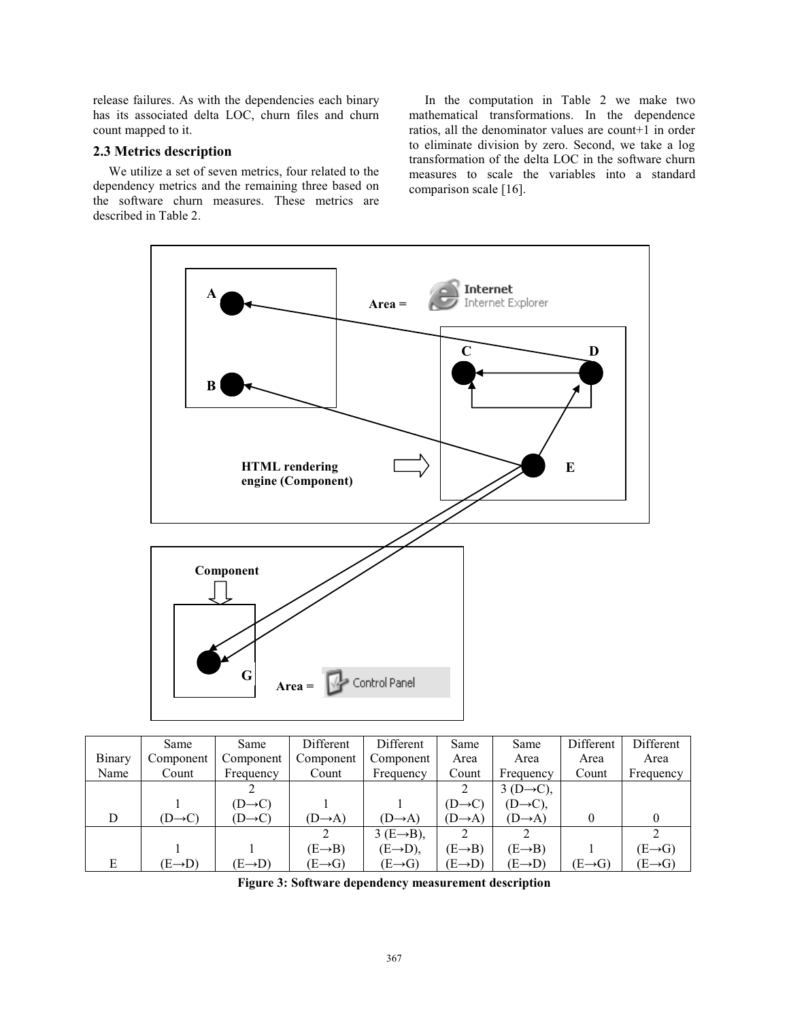release failures. As with the dependencies each binary has its associated delta LOC, churn files and churn count mapped to it.

# **2.3 Metrics description**

We utilize a set of seven metrics, four related to the dependency metrics and the remaining three based on the software churn measures. These metrics are described in Table 2.

In the computation in Table 2 we make two mathematical transformations. In the dependence ratios, all the denominator values are count+1 in order to eliminate division by zero. Second, we take a log transformation of the delta LOC in the software churn measures to scale the variables into a standard comparison scale [16].



|        | Same                | Same                | Different           | Different               | Same                | Same                  | Different           | Different           |
|--------|---------------------|---------------------|---------------------|-------------------------|---------------------|-----------------------|---------------------|---------------------|
| Binary | Component           | Component           | Component           | Component               | Area                | Area                  | Area                | Area                |
| Name   | Count               | Frequency           | Count               | Frequency               | Count               | Frequency             | Count               | Frequency           |
|        |                     |                     |                     |                         |                     | $3(D\rightarrow C)$ , |                     |                     |
|        |                     | $(D \rightarrow C)$ |                     |                         | $(D \rightarrow C)$ | $(D\rightarrow C)$ ,  |                     |                     |
| D      | $(D \rightarrow C)$ | $(D \rightarrow C)$ | $(D \rightarrow A)$ | $(D \rightarrow A)$     | $(D \rightarrow A)$ | $(D \rightarrow A)$   |                     |                     |
|        |                     |                     |                     | $3 (E \rightarrow B)$ , |                     |                       |                     |                     |
|        |                     |                     | $(E \rightarrow B)$ | $(E \rightarrow D)$ ,   | $(E \rightarrow B)$ | $(E \rightarrow B)$   |                     | $(E \rightarrow G)$ |
| E      | $(E \rightarrow D)$ | $(E \rightarrow D)$ | $(E \rightarrow G)$ | $(E \rightarrow G)$     | $(E \rightarrow D)$ | $(E \rightarrow D)$   | $(E \rightarrow G)$ | $(E \rightarrow G)$ |

**Figure 3: Software dependency measurement description**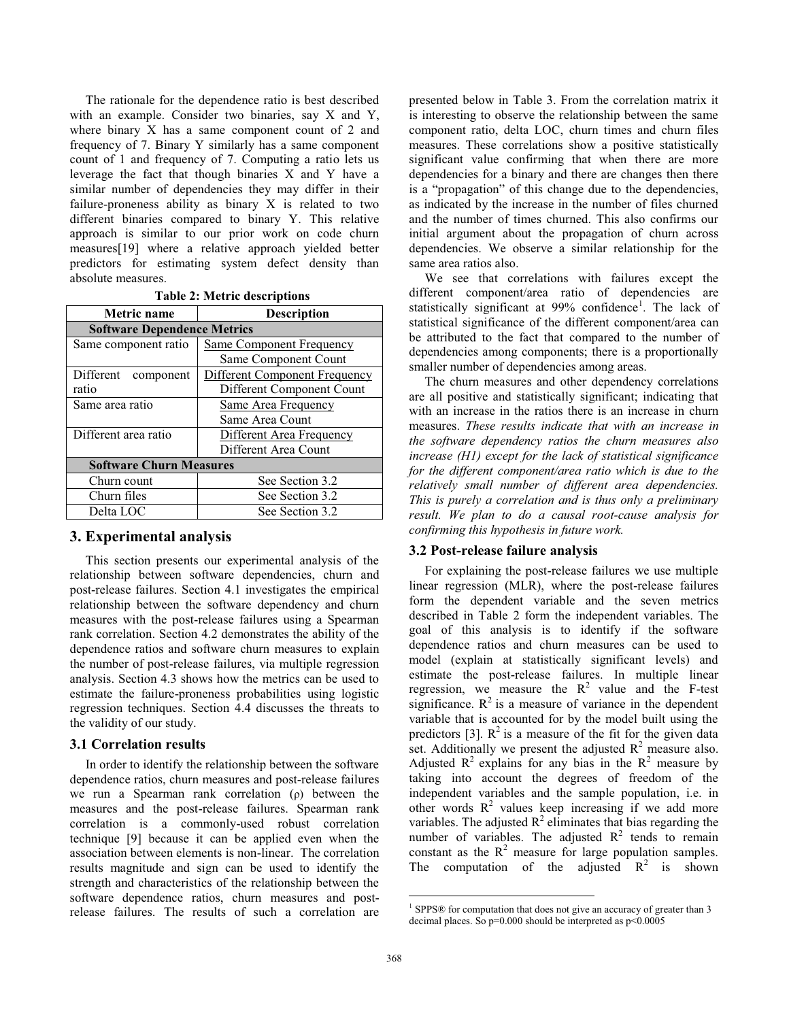The rationale for the dependence ratio is best described with an example. Consider two binaries, say X and Y, where binary X has a same component count of 2 and frequency of 7. Binary Y similarly has a same component count of 1 and frequency of 7. Computing a ratio lets us leverage the fact that though binaries X and Y have a similar number of dependencies they may differ in their failure-proneness ability as binary X is related to two different binaries compared to binary Y. This relative approach is similar to our prior work on code churn measures[19] where a relative approach yielded better predictors for estimating system defect density than absolute measures.

| <b>Metric</b> name                 | <b>Description</b>              |  |  |  |  |
|------------------------------------|---------------------------------|--|--|--|--|
| <b>Software Dependence Metrics</b> |                                 |  |  |  |  |
| Same component ratio               | <b>Same Component Frequency</b> |  |  |  |  |
|                                    | Same Component Count            |  |  |  |  |
| Different<br>component             | Different Component Frequency   |  |  |  |  |
| ratio                              | Different Component Count       |  |  |  |  |
| Same area ratio                    | <b>Same Area Frequency</b>      |  |  |  |  |
|                                    | Same Area Count                 |  |  |  |  |
| Different area ratio               | Different Area Frequency        |  |  |  |  |
|                                    | Different Area Count            |  |  |  |  |
| <b>Software Churn Measures</b>     |                                 |  |  |  |  |
| Churn count                        | See Section 3.2                 |  |  |  |  |
| Churn files                        | See Section 3.2                 |  |  |  |  |
| Delta LOC                          | See Section 3.2                 |  |  |  |  |

### **3. Experimental analysis**

This section presents our experimental analysis of the relationship between software dependencies, churn and post-release failures. Section 4.1 investigates the empirical relationship between the software dependency and churn measures with the post-release failures using a Spearman rank correlation. Section 4.2 demonstrates the ability of the dependence ratios and software churn measures to explain the number of post-release failures, via multiple regression analysis. Section 4.3 shows how the metrics can be used to estimate the failure-proneness probabilities using logistic regression techniques. Section 4.4 discusses the threats to the validity of our study.

#### **3.1 Correlation results**

In order to identify the relationship between the software dependence ratios, churn measures and post-release failures we run a Spearman rank correlation  $(\rho)$  between the measures and the post-release failures. Spearman rank correlation is a commonly-used robust correlation technique [9] because it can be applied even when the association between elements is non-linear. The correlation results magnitude and sign can be used to identify the strength and characteristics of the relationship between the software dependence ratios, churn measures and postrelease failures. The results of such a correlation are

presented below in Table 3. From the correlation matrix it is interesting to observe the relationship between the same component ratio, delta LOC, churn times and churn files measures. These correlations show a positive statistically significant value confirming that when there are more dependencies for a binary and there are changes then there is a "propagation" of this change due to the dependencies, as indicated by the increase in the number of files churned and the number of times churned. This also confirms our initial argument about the propagation of churn across dependencies. We observe a similar relationship for the same area ratios also.

We see that correlations with failures except the different component/area ratio of dependencies are statistically significant at 99% confidence<sup>1</sup>. The lack of statistical significance of the different component/area can be attributed to the fact that compared to the number of dependencies among components; there is a proportionally smaller number of dependencies among areas.

The churn measures and other dependency correlations are all positive and statistically significant; indicating that with an increase in the ratios there is an increase in churn measures. *These results indicate that with an increase in the software dependency ratios the churn measures also increase (H1) except for the lack of statistical significance for the different component/area ratio which is due to the relatively small number of different area dependencies. This is purely a correlation and is thus only a preliminary result. We plan to do a causal root-cause analysis for confirming this hypothesis in future work.* 

#### **3.2 Post-release failure analysis**

For explaining the post-release failures we use multiple linear regression (MLR), where the post-release failures form the dependent variable and the seven metrics described in Table 2 form the independent variables. The goal of this analysis is to identify if the software dependence ratios and churn measures can be used to model (explain at statistically significant levels) and estimate the post-release failures. In multiple linear regression, we measure the  $R^2$  value and the F-test significance.  $R^2$  is a measure of variance in the dependent variable that is accounted for by the model built using the predictors [3].  $R^2$  is a measure of the fit for the given data set. Additionally we present the adjusted  $R^2$  measure also. Adjusted  $R^2$  explains for any bias in the  $R^2$  measure by taking into account the degrees of freedom of the independent variables and the sample population, i.e. in other words  $R^2$  values keep increasing if we add more variables. The adjusted  $R^2$  eliminates that bias regarding the number of variables. The adjusted  $R^2$  tends to remain constant as the  $R^2$  measure for large population samples. The computation of the adjusted  $R^2$  is shown

 $\overline{a}$ 

<sup>&</sup>lt;sup>1</sup> SPPS® for computation that does not give an accuracy of greater than 3 decimal places. So  $p=0.000$  should be interpreted as  $p<0.0005$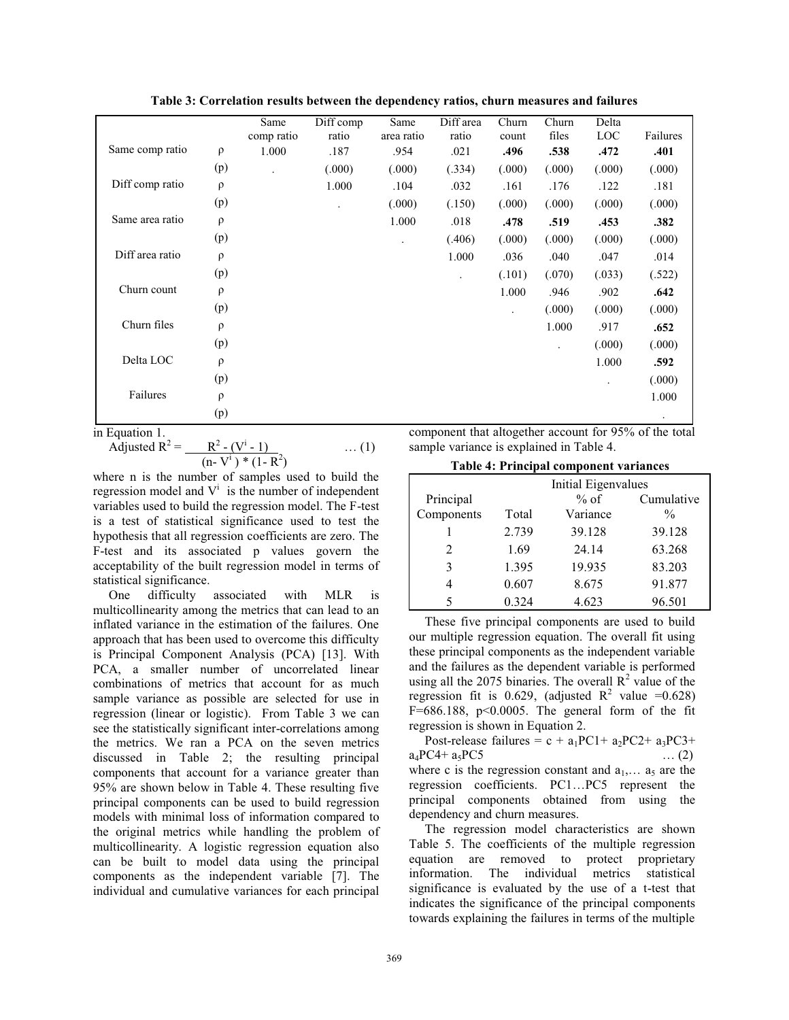**Table 3: Correlation results between the dependency ratios, churn measures and failures** 

|                 |        | Same<br>comp ratio | Diff comp<br>ratio | Same<br>area ratio | Diff area<br>ratio | Churn<br>count       | Churn<br>files | Delta<br>LOC         | Failures |
|-----------------|--------|--------------------|--------------------|--------------------|--------------------|----------------------|----------------|----------------------|----------|
| Same comp ratio | $\rho$ | 1.000              | .187               | .954               | .021               | .496                 | .538           | .472                 | .401     |
|                 | (p)    |                    | (.000)             | (.000)             | (.334)             | (.000)               | (.000)         | (.000)               | (.000)   |
| Diff comp ratio | $\rho$ |                    | 1.000              | .104               | .032               | .161                 | .176           | .122                 | .181     |
|                 | (p)    |                    |                    | (.000)             | (.150)             | (.000)               | (.000)         | (.000)               | (.000)   |
| Same area ratio | $\rho$ |                    |                    | 1.000              | .018               | .478                 | .519           | .453                 | .382     |
|                 | (p)    |                    |                    | ٠                  | (.406)             | (.000)               | (.000)         | (.000)               | (.000)   |
| Diff area ratio | $\rho$ |                    |                    |                    | 1.000              | .036                 | .040           | .047                 | .014     |
|                 | (p)    |                    |                    |                    |                    | (.101)               | (.070)         | (.033)               | (.522)   |
| Churn count     | $\rho$ |                    |                    |                    |                    | 1.000                | .946           | .902                 | .642     |
|                 | (p)    |                    |                    |                    |                    | $\ddot{\phantom{0}}$ | (.000)         | (.000)               | (.000)   |
| Churn files     | $\rho$ |                    |                    |                    |                    |                      | 1.000          | .917                 | .652     |
|                 | (p)    |                    |                    |                    |                    |                      |                | (.000)               | (.000)   |
| Delta LOC       | $\rho$ |                    |                    |                    |                    |                      |                | 1.000                | .592     |
|                 | (p)    |                    |                    |                    |                    |                      |                | $\ddot{\phantom{0}}$ | (.000)   |
| Failures        | $\rho$ |                    |                    |                    |                    |                      |                |                      | 1.000    |
|                 | (p)    |                    |                    |                    |                    |                      |                |                      |          |

in Equation 1

Required R<sup>2</sup> = 
$$
\frac{R^2 - (V^i - 1)}{(n - V^i)^* (1 - R^2)}
$$
 ... (1)

where n is the number of samples used to build the regression model and  $V^i$  is the number of independent variables used to build the regression model. The F-test is a test of statistical significance used to test the hypothesis that all regression coefficients are zero. The F-test and its associated p values govern the acceptability of the built regression model in terms of statistical significance.

One difficulty associated with MLR is multicollinearity among the metrics that can lead to an inflated variance in the estimation of the failures. One approach that has been used to overcome this difficulty is Principal Component Analysis (PCA) [13]. With PCA, a smaller number of uncorrelated linear combinations of metrics that account for as much sample variance as possible are selected for use in regression (linear or logistic). From Table 3 we can see the statistically significant inter-correlations among the metrics. We ran a PCA on the seven metrics discussed in Table 2; the resulting principal components that account for a variance greater than 95% are shown below in Table 4. These resulting five principal components can be used to build regression models with minimal loss of information compared to the original metrics while handling the problem of multicollinearity. A logistic regression equation also can be built to model data using the principal components as the independent variable [7]. The individual and cumulative variances for each principal

component that altogether account for 95% of the total sample variance is explained in Table 4.

|                | Initial Eigenvalues |          |               |  |  |
|----------------|---------------------|----------|---------------|--|--|
| Principal      |                     | $%$ of   | Cumulative    |  |  |
| Components     | Total               | Variance | $\frac{0}{0}$ |  |  |
|                | 2.739               | 39.128   | 39.128        |  |  |
| $\mathfrak{D}$ | 1.69                | 24.14    | 63.268        |  |  |
| 3              | 1.395               | 19.935   | 83.203        |  |  |
|                | 0.607               | 8.675    | 91.877        |  |  |
| 5              | 0.324               | 4.623    | 96.501        |  |  |

These five principal components are used to build our multiple regression equation. The overall fit using these principal components as the independent variable and the failures as the dependent variable is performed using all the 2075 binaries. The overall  $R^2$  value of the regression fit is 0.629, (adjusted  $R^2$  value =0.628) F= $686.188$ , p<0.0005. The general form of the fit regression is shown in Equation 2.

Post-release failures =  $c + a_1PC1 + a_2PC2 + a_3PC3 +$  $a_4PC4 + a_5PC5$  (2) where c is the regression constant and  $a_1, \ldots, a_5$  are the regression coefficients. PC1...PC5 represent the principal components obtained from using the dependency and churn measures.

The regression model characteristics are shown Table 5. The coefficients of the multiple regression equation are removed to protect proprietary information. The individual metrics statistical significance is evaluated by the use of a t-test that indicates the significance of the principal components towards explaining the failures in terms of the multiple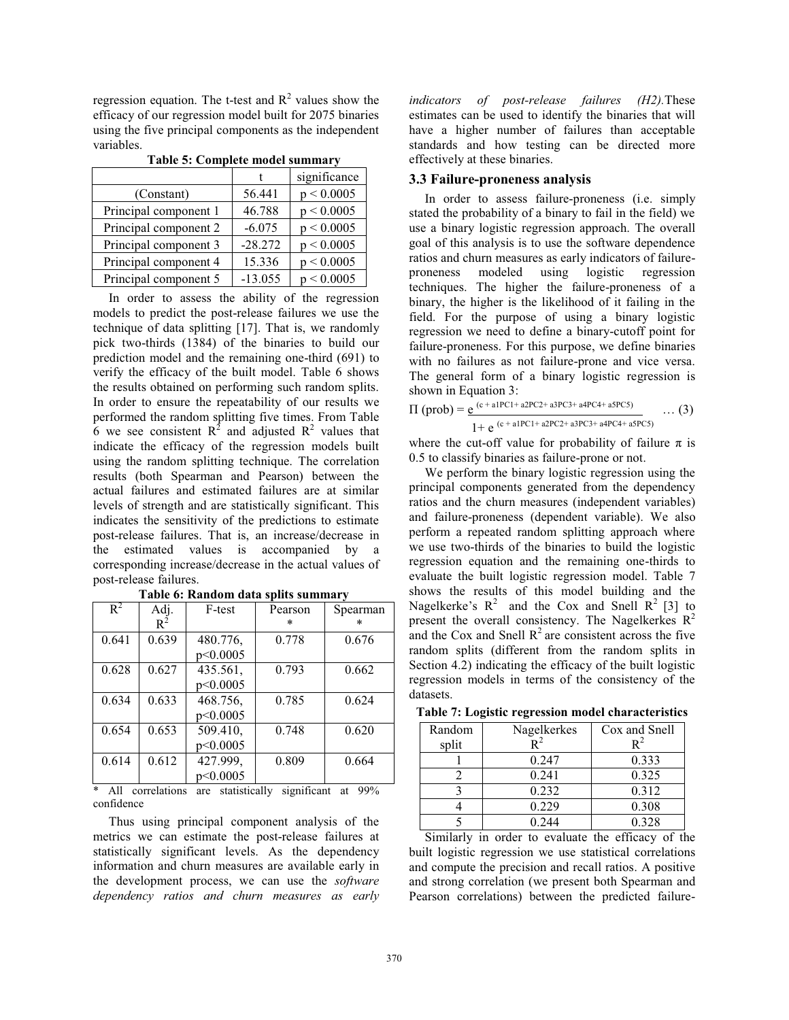regression equation. The t-test and  $R^2$  values show the efficacy of our regression model built for 2075 binaries using the five principal components as the independent variables.

|                       |           | significance |
|-----------------------|-----------|--------------|
| (Constant)            | 56.441    | p < 0.0005   |
| Principal component 1 | 46.788    | p < 0.0005   |
| Principal component 2 | $-6.075$  | p < 0.0005   |
| Principal component 3 | $-28.272$ | p < 0.0005   |
| Principal component 4 | 15.336    | p < 0.0005   |
| Principal component 5 | $-13.055$ | p < 0.0005   |

**Table 5: Complete model summary** 

In order to assess the ability of the regression models to predict the post-release failures we use the technique of data splitting [17]. That is, we randomly pick two-thirds (1384) of the binaries to build our prediction model and the remaining one-third (691) to verify the efficacy of the built model. Table 6 shows the results obtained on performing such random splits. In order to ensure the repeatability of our results we performed the random splitting five times. From Table 6 we see consistent  $R^2$  and adjusted  $R^2$  values that indicate the efficacy of the regression models built using the random splitting technique. The correlation results (both Spearman and Pearson) between the actual failures and estimated failures are at similar levels of strength and are statistically significant. This indicates the sensitivity of the predictions to estimate post-release failures. That is, an increase/decrease in the estimated values is accompanied by a corresponding increase/decrease in the actual values of post-release failures.

| $R^2$ | Adj.  | F-test   | Pearson | Spearman |
|-------|-------|----------|---------|----------|
|       | $R^2$ |          | $\ast$  | ×        |
| 0.641 | 0.639 | 480.776, | 0.778   | 0.676    |
|       |       | p<0.0005 |         |          |
| 0.628 | 0.627 | 435.561, | 0.793   | 0.662    |
|       |       | p<0.0005 |         |          |
| 0.634 | 0.633 | 468.756, | 0.785   | 0.624    |
|       |       | p<0.0005 |         |          |
| 0.654 | 0.653 | 509.410, | 0.748   | 0.620    |
|       |       | p<0.0005 |         |          |
| 0.614 | 0.612 | 427.999, | 0.809   | 0.664    |
|       |       | p<0.0005 |         |          |

**Table 6: Random data splits summary** 

All correlations are statistically significant at 99% confidence

Thus using principal component analysis of the metrics we can estimate the post-release failures at statistically significant levels. As the dependency information and churn measures are available early in the development process, we can use the *software dependency ratios and churn measures as early*  *indicators of post-release failures (H2).*These estimates can be used to identify the binaries that will have a higher number of failures than acceptable standards and how testing can be directed more effectively at these binaries.

#### **3.3 Failure-proneness analysis**

In order to assess failure-proneness (i.e. simply stated the probability of a binary to fail in the field) we use a binary logistic regression approach. The overall goal of this analysis is to use the software dependence ratios and churn measures as early indicators of failureproneness modeled using logistic regression techniques. The higher the failure-proneness of a binary, the higher is the likelihood of it failing in the field. For the purpose of using a binary logistic regression we need to define a binary-cutoff point for failure-proneness. For this purpose, we define binaries with no failures as not failure-prone and vice versa. The general form of a binary logistic regression is shown in Equation 3:

$$
\Pi \text{ (prob)} = \underline{e^{ (c + a1PC1 + a2PC2 + a3PC3 + a4PC4 + a5PC5)}} \dots (3)
$$

$$
1+e^{\,(c+a1PC1+a2PC2+a3PC3+a4PC4+a5PC5)}
$$

where the cut-off value for probability of failure  $\pi$  is 0.5 to classify binaries as failure-prone or not.

We perform the binary logistic regression using the principal components generated from the dependency ratios and the churn measures (independent variables) and failure-proneness (dependent variable). We also perform a repeated random splitting approach where we use two-thirds of the binaries to build the logistic regression equation and the remaining one-thirds to evaluate the built logistic regression model. Table 7 shows the results of this model building and the Nagelkerke's  $R^2$  and the Cox and Snell  $R^2$  [3] to present the overall consistency. The Nagelkerkes  $R^2$ and the Cox and Snell  $R^2$  are consistent across the five random splits (different from the random splits in Section 4.2) indicating the efficacy of the built logistic regression models in terms of the consistency of the datasets.

**Table 7: Logistic regression model characteristics** 

| Random | Nagelkerkes | Cox and Snell |
|--------|-------------|---------------|
| split  |             |               |
|        | 0.247       | 0.333         |
|        | 0.241       | 0.325         |
|        | 0.232       | 0.312         |
|        | 0.229       | 0.308         |
|        | 0.244       | 0.328         |

Similarly in order to evaluate the efficacy of the built logistic regression we use statistical correlations and compute the precision and recall ratios. A positive and strong correlation (we present both Spearman and Pearson correlations) between the predicted failure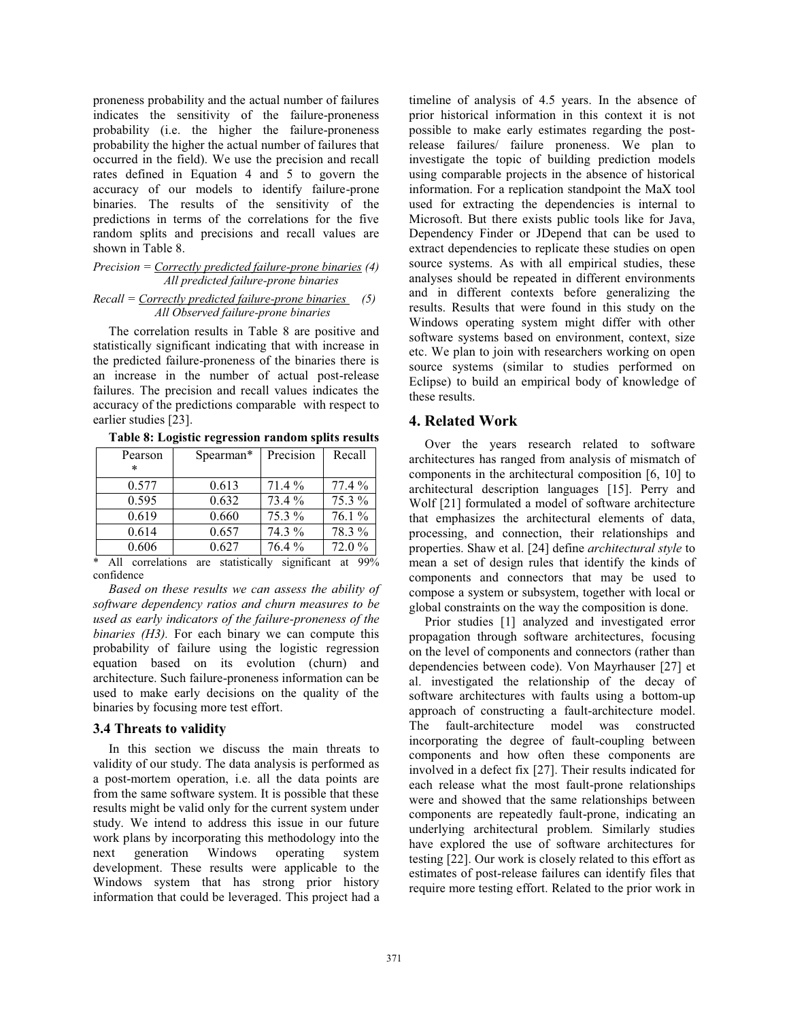proneness probability and the actual number of failures indicates the sensitivity of the failure-proneness probability (i.e. the higher the failure-proneness probability the higher the actual number of failures that occurred in the field). We use the precision and recall rates defined in Equation 4 and 5 to govern the accuracy of our models to identify failure-prone binaries. The results of the sensitivity of the predictions in terms of the correlations for the five random splits and precisions and recall values are shown in Table 8.

#### *Precision = Correctly predicted failure-prone binaries (4) All predicted failure-prone binaries*

# *Recall = Correctly predicted failure-prone binaries (5) All Observed failure-prone binaries*

The correlation results in Table 8 are positive and statistically significant indicating that with increase in the predicted failure-proneness of the binaries there is an increase in the number of actual post-release failures. The precision and recall values indicates the accuracy of the predictions comparable with respect to earlier studies [23].

| Table 8: Logistic regression random splits results |  |  |  |  |  |  |  |
|----------------------------------------------------|--|--|--|--|--|--|--|
|----------------------------------------------------|--|--|--|--|--|--|--|

| Pearson | Spearman* | Precision | Recall   |
|---------|-----------|-----------|----------|
| $\ast$  |           |           |          |
| 0.577   | 0.613     | 71.4 %    | $77.4\%$ |
| 0.595   | 0.632     | 73.4 %    | 75.3 %   |
| 0.619   | 0.660     | 75.3 %    | $76.1\%$ |
| 0.614   | 0.657     | 74.3 %    | 78.3 %   |
| 0.606   | 0.627     | 76.4 %    | 72.0%    |

\* All correlations are statistically significant at 99% confidence

*Based on these results we can assess the ability of software dependency ratios and churn measures to be used as early indicators of the failure-proneness of the binaries (H3)*. For each binary we can compute this probability of failure using the logistic regression equation based on its evolution (churn) and architecture. Such failure-proneness information can be used to make early decisions on the quality of the binaries by focusing more test effort.

# **3.4 Threats to validity**

In this section we discuss the main threats to validity of our study. The data analysis is performed as a post-mortem operation, i.e. all the data points are from the same software system. It is possible that these results might be valid only for the current system under study. We intend to address this issue in our future work plans by incorporating this methodology into the next generation Windows operating system development. These results were applicable to the Windows system that has strong prior history information that could be leveraged. This project had a

timeline of analysis of 4.5 years. In the absence of prior historical information in this context it is not possible to make early estimates regarding the postrelease failures/ failure proneness. We plan to investigate the topic of building prediction models using comparable projects in the absence of historical information. For a replication standpoint the MaX tool used for extracting the dependencies is internal to Microsoft. But there exists public tools like for Java, Dependency Finder or JDepend that can be used to extract dependencies to replicate these studies on open source systems. As with all empirical studies, these analyses should be repeated in different environments and in different contexts before generalizing the results. Results that were found in this study on the Windows operating system might differ with other software systems based on environment, context, size etc. We plan to join with researchers working on open source systems (similar to studies performed on Eclipse) to build an empirical body of knowledge of these results.

# **4. Related Work**

Over the years research related to software architectures has ranged from analysis of mismatch of components in the architectural composition [6, 10] to architectural description languages [15]. Perry and Wolf [21] formulated a model of software architecture that emphasizes the architectural elements of data, processing, and connection, their relationships and properties. Shaw et al. [24] define *architectural style* to mean a set of design rules that identify the kinds of components and connectors that may be used to compose a system or subsystem, together with local or global constraints on the way the composition is done.

Prior studies [1] analyzed and investigated error propagation through software architectures, focusing on the level of components and connectors (rather than dependencies between code). Von Mayrhauser [27] et al. investigated the relationship of the decay of software architectures with faults using a bottom-up approach of constructing a fault-architecture model. The fault-architecture model was constructed incorporating the degree of fault-coupling between components and how often these components are involved in a defect fix [27]. Their results indicated for each release what the most fault-prone relationships were and showed that the same relationships between components are repeatedly fault-prone, indicating an underlying architectural problem. Similarly studies have explored the use of software architectures for testing [22]. Our work is closely related to this effort as estimates of post-release failures can identify files that require more testing effort. Related to the prior work in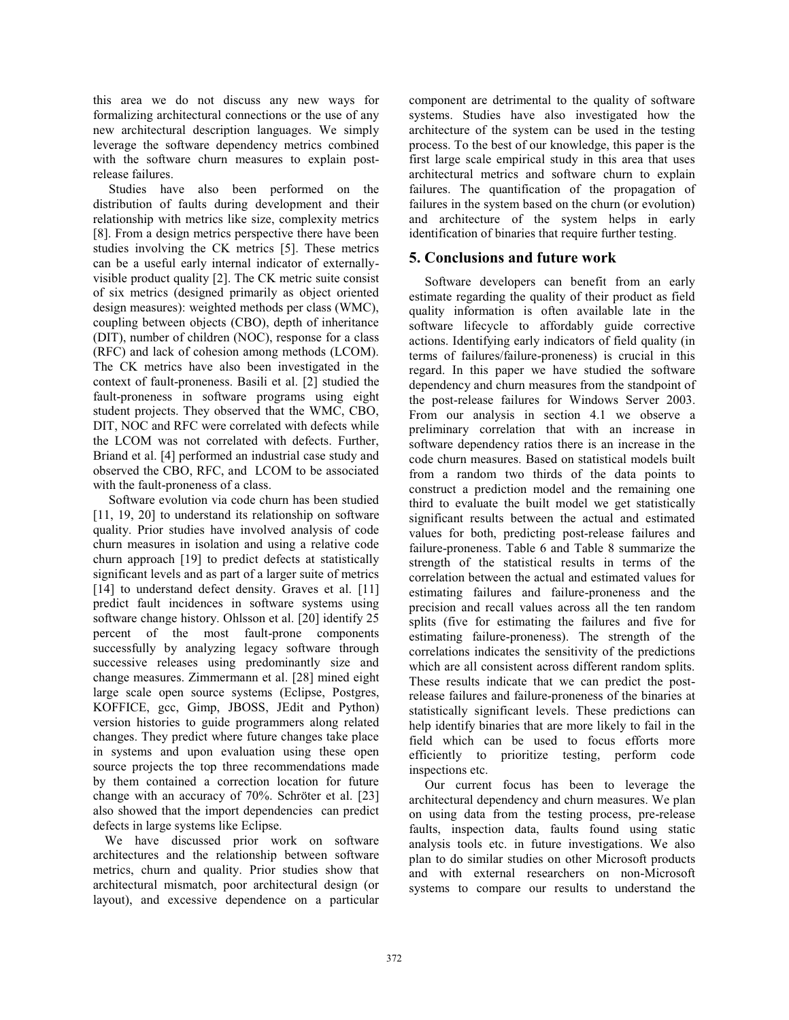this area we do not discuss any new ways for formalizing architectural connections or the use of any new architectural description languages. We simply leverage the software dependency metrics combined with the software churn measures to explain postrelease failures.

Studies have also been performed on the distribution of faults during development and their relationship with metrics like size, complexity metrics [8]. From a design metrics perspective there have been studies involving the CK metrics [5]. These metrics can be a useful early internal indicator of externallyvisible product quality [2]. The CK metric suite consist of six metrics (designed primarily as object oriented design measures): weighted methods per class (WMC), coupling between objects (CBO), depth of inheritance (DIT), number of children (NOC), response for a class (RFC) and lack of cohesion among methods (LCOM). The CK metrics have also been investigated in the context of fault-proneness. Basili et al. [2] studied the fault-proneness in software programs using eight student projects. They observed that the WMC, CBO, DIT, NOC and RFC were correlated with defects while the LCOM was not correlated with defects. Further, Briand et al. [4] performed an industrial case study and observed the CBO, RFC, and LCOM to be associated with the fault-proneness of a class.

Software evolution via code churn has been studied [11, 19, 20] to understand its relationship on software quality. Prior studies have involved analysis of code churn measures in isolation and using a relative code churn approach [19] to predict defects at statistically significant levels and as part of a larger suite of metrics [14] to understand defect density. Graves et al. [11] predict fault incidences in software systems using software change history. Ohlsson et al. [20] identify 25 percent of the most fault-prone components successfully by analyzing legacy software through successive releases using predominantly size and change measures. Zimmermann et al. [28] mined eight large scale open source systems (Eclipse, Postgres, KOFFICE, gcc, Gimp, JBOSS, JEdit and Python) version histories to guide programmers along related changes. They predict where future changes take place in systems and upon evaluation using these open source projects the top three recommendations made by them contained a correction location for future change with an accuracy of 70%. Schröter et al. [23] also showed that the import dependencies can predict defects in large systems like Eclipse.

We have discussed prior work on software architectures and the relationship between software metrics, churn and quality. Prior studies show that architectural mismatch, poor architectural design (or layout), and excessive dependence on a particular

component are detrimental to the quality of software systems. Studies have also investigated how the architecture of the system can be used in the testing process. To the best of our knowledge, this paper is the first large scale empirical study in this area that uses architectural metrics and software churn to explain failures. The quantification of the propagation of failures in the system based on the churn (or evolution) and architecture of the system helps in early identification of binaries that require further testing.

# **5. Conclusions and future work**

Software developers can benefit from an early estimate regarding the quality of their product as field quality information is often available late in the software lifecycle to affordably guide corrective actions. Identifying early indicators of field quality (in terms of failures/failure-proneness) is crucial in this regard. In this paper we have studied the software dependency and churn measures from the standpoint of the post-release failures for Windows Server 2003. From our analysis in section 4.1 we observe a preliminary correlation that with an increase in software dependency ratios there is an increase in the code churn measures. Based on statistical models built from a random two thirds of the data points to construct a prediction model and the remaining one third to evaluate the built model we get statistically significant results between the actual and estimated values for both, predicting post-release failures and failure-proneness. Table 6 and Table 8 summarize the strength of the statistical results in terms of the correlation between the actual and estimated values for estimating failures and failure-proneness and the precision and recall values across all the ten random splits (five for estimating the failures and five for estimating failure-proneness). The strength of the correlations indicates the sensitivity of the predictions which are all consistent across different random splits. These results indicate that we can predict the postrelease failures and failure-proneness of the binaries at statistically significant levels. These predictions can help identify binaries that are more likely to fail in the field which can be used to focus efforts more efficiently to prioritize testing, perform code inspections etc.

Our current focus has been to leverage the architectural dependency and churn measures. We plan on using data from the testing process, pre-release faults, inspection data, faults found using static analysis tools etc. in future investigations. We also plan to do similar studies on other Microsoft products and with external researchers on non-Microsoft systems to compare our results to understand the